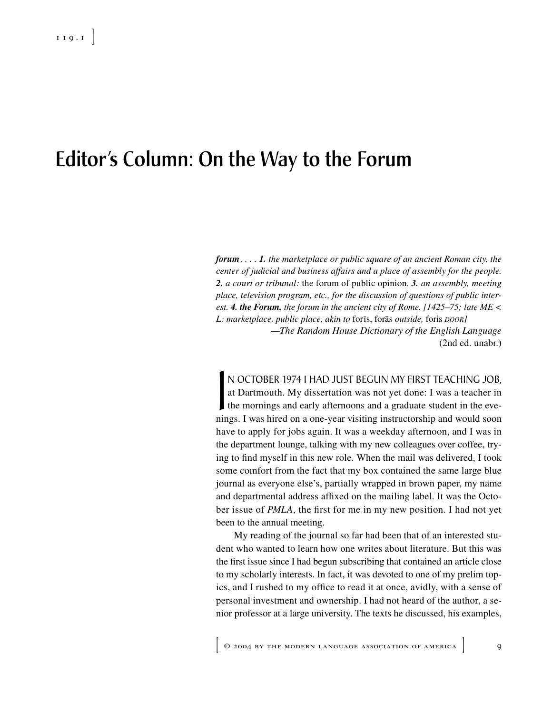## **Editor's Column: On the Way to the Forum**

*forum. . . . 1. the marketplace or public square of an ancient Roman city, the center of judicial and business affairs and a place of assembly for the people. 2. a court or tribunal:* the forum of public opinion*. 3. an assembly, meeting place, television program, etc., for the discussion of questions of public interest. 4. the Forum, the forum in the ancient city of Rome. [1425–75; late ME < L: marketplace, public place, akin to* for∑ -s, forÇs *outside,* foris *DOOR] —The Random House Dictionary of the English Language*

(2nd ed. unabr.)

N OCTOBER 1974 I HAD JUST BEGUN MY FIRST TEACHING JOB, at Dartmouth. My dissertation was not yet done: I was a teacher in the mornings and early afternoons and a graduate student in the evenings. I was hired on a one-year N OCTOBER 1974 I HAD JUST BEGUN MY FIRST TEACHING JOB, at Dartmouth. My dissertation was not yet done: I was a teacher in the mornings and early afternoons and a graduate student in the evehave to apply for jobs again. It was a weekday afternoon, and I was in the department lounge, talking with my new colleagues over coffee, trying to find myself in this new role. When the mail was delivered, I took some comfort from the fact that my box contained the same large blue journal as everyone else's, partially wrapped in brown paper, my name and departmental address affixed on the mailing label. It was the October issue of *PMLA*, the first for me in my new position. I had not yet been to the annual meeting.

My reading of the journal so far had been that of an interested student who wanted to learn how one writes about literature. But this was the first issue since I had begun subscribing that contained an article close to my scholarly interests. In fact, it was devoted to one of my prelim topics, and I rushed to my office to read it at once, avidly, with a sense of personal investment and ownership. I had not heard of the author, a senior professor at a large university. The texts he discussed, his examples,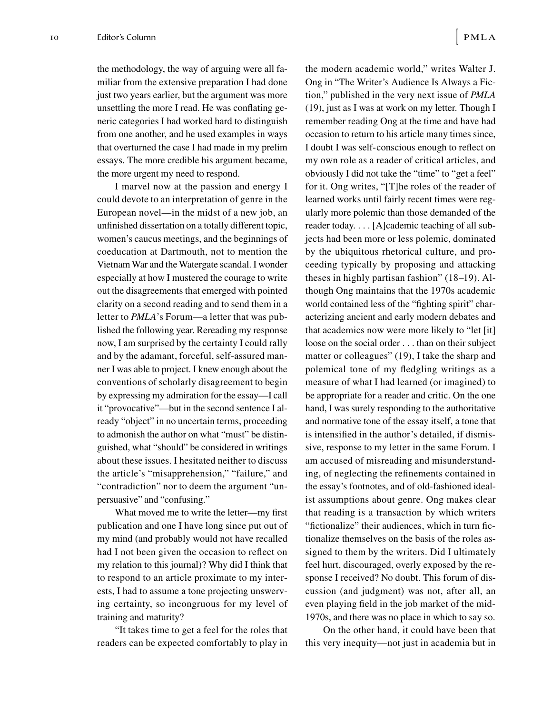the methodology, the way of arguing were all familiar from the extensive preparation I had done just two years earlier, but the argument was more unsettling the more I read. He was conflating generic categories I had worked hard to distinguish from one another, and he used examples in ways that overturned the case I had made in my prelim essays. The more credible his argument became, the more urgent my need to respond.

I marvel now at the passion and energy I could devote to an interpretation of genre in the European novel—in the midst of a new job, an unfinished dissertation on a totally different topic, women's caucus meetings, and the beginnings of coeducation at Dartmouth, not to mention the Vietnam War and the Watergate scandal. I wonder especially at how I mustered the courage to write out the disagreements that emerged with pointed clarity on a second reading and to send them in a letter to *PMLA*'s Forum—a letter that was published the following year. Rereading my response now, I am surprised by the certainty I could rally and by the adamant, forceful, self-assured manner I was able to project. I knew enough about the conventions of scholarly disagreement to begin by expressing my admiration for the essay—I call it "provocative"—but in the second sentence I already "object" in no uncertain terms, proceeding to admonish the author on what "must" be distinguished, what "should" be considered in writings about these issues. I hesitated neither to discuss the article's "misapprehension," "failure," and "contradiction" nor to deem the argument "unpersuasive" and "confusing."

What moved me to write the letter—my first publication and one I have long since put out of my mind (and probably would not have recalled had I not been given the occasion to reflect on my relation to this journal)? Why did I think that to respond to an article proximate to my interests, I had to assume a tone projecting unswerving certainty, so incongruous for my level of training and maturity?

"It takes time to get a feel for the roles that readers can be expected comfortably to play in

the modern academic world," writes Walter J. Ong in "The Writer's Audience Is Always a Fiction," published in the very next issue of *PMLA* (19), just as I was at work on my letter. Though I remember reading Ong at the time and have had occasion to return to his article many times since, I doubt I was self-conscious enough to reflect on my own role as a reader of critical articles, and obviously I did not take the "time" to "get a feel" for it. Ong writes, "[T]he roles of the reader of learned works until fairly recent times were regularly more polemic than those demanded of the reader today. . . . [A]cademic teaching of all subjects had been more or less polemic, dominated by the ubiquitous rhetorical culture, and proceeding typically by proposing and attacking theses in highly partisan fashion" (18–19). Although Ong maintains that the 1970s academic world contained less of the "fighting spirit" characterizing ancient and early modern debates and that academics now were more likely to "let [it] loose on the social order . . . than on their subject matter or colleagues" (19), I take the sharp and polemical tone of my fledgling writings as a measure of what I had learned (or imagined) to be appropriate for a reader and critic. On the one hand, I was surely responding to the authoritative and normative tone of the essay itself, a tone that is intensified in the author's detailed, if dismissive, response to my letter in the same Forum. I am accused of misreading and misunderstanding, of neglecting the refinements contained in the essay's footnotes, and of old-fashioned idealist assumptions about genre. Ong makes clear that reading is a transaction by which writers "fictionalize" their audiences, which in turn fictionalize themselves on the basis of the roles assigned to them by the writers. Did I ultimately feel hurt, discouraged, overly exposed by the response I received? No doubt. This forum of discussion (and judgment) was not, after all, an even playing field in the job market of the mid-1970s, and there was no place in which to say so.

On the other hand, it could have been that this very inequity—not just in academia but in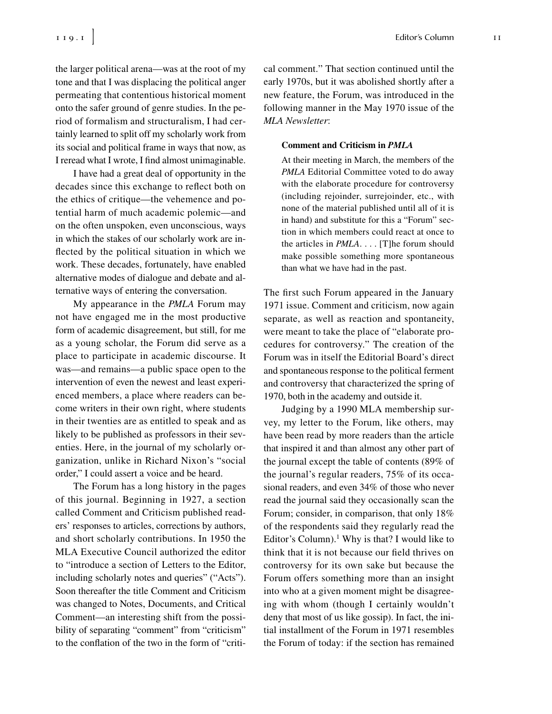the larger political arena—was at the root of my tone and that I was displacing the political anger permeating that contentious historical moment onto the safer ground of genre studies. In the period of formalism and structuralism, I had certainly learned to split off my scholarly work from its social and political frame in ways that now, as I reread what I wrote, I find almost unimaginable.

I have had a great deal of opportunity in the decades since this exchange to reflect both on the ethics of critique—the vehemence and potential harm of much academic polemic—and on the often unspoken, even unconscious, ways in which the stakes of our scholarly work are inflected by the political situation in which we work. These decades, fortunately, have enabled alternative modes of dialogue and debate and alternative ways of entering the conversation.

My appearance in the *PMLA* Forum may not have engaged me in the most productive form of academic disagreement, but still, for me as a young scholar, the Forum did serve as a place to participate in academic discourse. It was—and remains—a public space open to the intervention of even the newest and least experienced members, a place where readers can become writers in their own right, where students in their twenties are as entitled to speak and as likely to be published as professors in their seventies. Here, in the journal of my scholarly organization, unlike in Richard Nixon's "social order," I could assert a voice and be heard.

The Forum has a long history in the pages of this journal. Beginning in 1927, a section called Comment and Criticism published readers' responses to articles, corrections by authors, and short scholarly contributions. In 1950 the MLA Executive Council authorized the editor to "introduce a section of Letters to the Editor, including scholarly notes and queries" ("Acts"). Soon thereafter the title Comment and Criticism was changed to Notes, Documents, and Critical Comment—an interesting shift from the possibility of separating "comment" from "criticism" to the conflation of the two in the form of "critical comment." That section continued until the early 1970s, but it was abolished shortly after a new feature, the Forum, was introduced in the following manner in the May 1970 issue of the *MLA Newsletter*:

## **Comment and Criticism in** *PMLA*

At their meeting in March, the members of the *PMLA* Editorial Committee voted to do away with the elaborate procedure for controversy (including rejoinder, surrejoinder, etc., with none of the material published until all of it is in hand) and substitute for this a "Forum" section in which members could react at once to the articles in *PMLA*. . . . [T]he forum should make possible something more spontaneous than what we have had in the past.

The first such Forum appeared in the January 1971 issue. Comment and criticism, now again separate, as well as reaction and spontaneity, were meant to take the place of "elaborate procedures for controversy." The creation of the Forum was in itself the Editorial Board's direct and spontaneous response to the political ferment and controversy that characterized the spring of 1970, both in the academy and outside it.

Judging by a 1990 MLA membership survey, my letter to the Forum, like others, may have been read by more readers than the article that inspired it and than almost any other part of the journal except the table of contents (89% of the journal's regular readers, 75% of its occasional readers, and even 34% of those who never read the journal said they occasionally scan the Forum; consider, in comparison, that only 18% of the respondents said they regularly read the Editor's Column).<sup>1</sup> Why is that? I would like to think that it is not because our field thrives on controversy for its own sake but because the Forum offers something more than an insight into who at a given moment might be disagreeing with whom (though I certainly wouldn't deny that most of us like gossip). In fact, the initial installment of the Forum in 1971 resembles the Forum of today: if the section has remained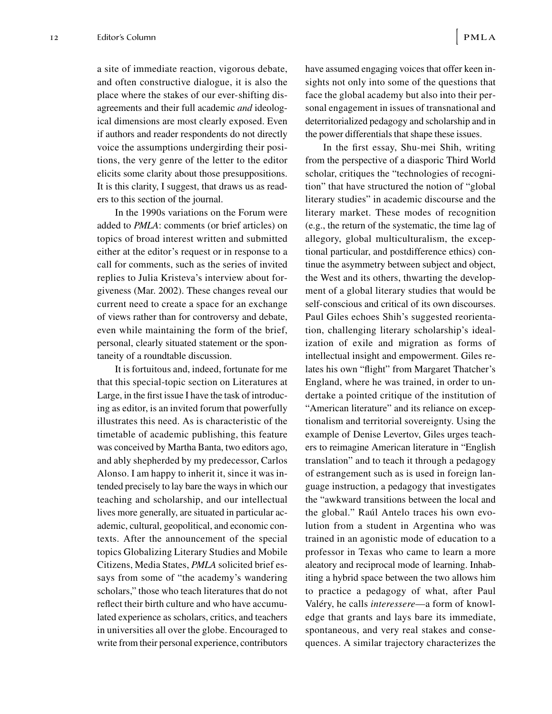12 Editor's Column **Editor's Column** 

a site of immediate reaction, vigorous debate, and often constructive dialogue, it is also the place where the stakes of our ever-shifting disagreements and their full academic *and* ideological dimensions are most clearly exposed. Even if authors and reader respondents do not directly voice the assumptions undergirding their positions, the very genre of the letter to the editor elicits some clarity about those presuppositions. It is this clarity, I suggest, that draws us as readers to this section of the journal.

In the 1990s variations on the Forum were added to *PMLA*: comments (or brief articles) on topics of broad interest written and submitted either at the editor's request or in response to a call for comments, such as the series of invited replies to Julia Kristeva's interview about forgiveness (Mar. 2002). These changes reveal our current need to create a space for an exchange of views rather than for controversy and debate, even while maintaining the form of the brief, personal, clearly situated statement or the spontaneity of a roundtable discussion.

It is fortuitous and, indeed, fortunate for me that this special-topic section on Literatures at Large, in the first issue I have the task of introducing as editor, is an invited forum that powerfully illustrates this need. As is characteristic of the timetable of academic publishing, this feature was conceived by Martha Banta, two editors ago, and ably shepherded by my predecessor, Carlos Alonso. I am happy to inherit it, since it was intended precisely to lay bare the ways in which our teaching and scholarship, and our intellectual lives more generally, are situated in particular academic, cultural, geopolitical, and economic contexts. After the announcement of the special topics Globalizing Literary Studies and Mobile Citizens, Media States, *PMLA* solicited brief essays from some of "the academy's wandering scholars," those who teach literatures that do not reflect their birth culture and who have accumulated experience as scholars, critics, and teachers in universities all over the globe. Encouraged to write from their personal experience, contributors have assumed engaging voices that offer keen insights not only into some of the questions that face the global academy but also into their personal engagement in issues of transnational and deterritorialized pedagogy and scholarship and in the power differentials that shape these issues.

In the first essay, Shu-mei Shih, writing from the perspective of a diasporic Third World scholar, critiques the "technologies of recognition" that have structured the notion of "global literary studies" in academic discourse and the literary market. These modes of recognition (e.g., the return of the systematic, the time lag of allegory, global multiculturalism, the exceptional particular, and postdifference ethics) continue the asymmetry between subject and object, the West and its others, thwarting the development of a global literary studies that would be self-conscious and critical of its own discourses. Paul Giles echoes Shih's suggested reorientation, challenging literary scholarship's idealization of exile and migration as forms of intellectual insight and empowerment. Giles relates his own "flight" from Margaret Thatcher's England, where he was trained, in order to undertake a pointed critique of the institution of "American literature" and its reliance on exceptionalism and territorial sovereignty. Using the example of Denise Levertov, Giles urges teachers to reimagine American literature in "English translation" and to teach it through a pedagogy of estrangement such as is used in foreign language instruction, a pedagogy that investigates the "awkward transitions between the local and the global." Raúl Antelo traces his own evolution from a student in Argentina who was trained in an agonistic mode of education to a professor in Texas who came to learn a more aleatory and reciprocal mode of learning. Inhabiting a hybrid space between the two allows him to practice a pedagogy of what, after Paul Valéry, he calls *interessere*—a form of knowledge that grants and lays bare its immediate, spontaneous, and very real stakes and consequences. A similar trajectory characterizes the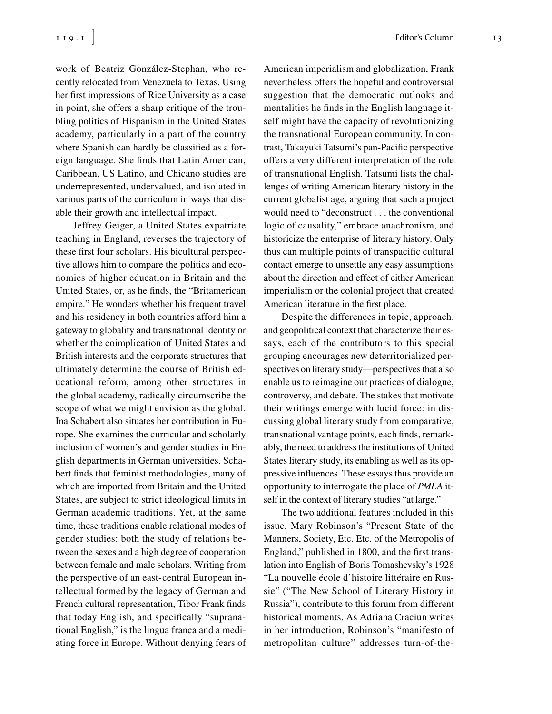work of Beatriz González-Stephan, who recently relocated from Venezuela to Texas. Using her first impressions of Rice University as a case in point, she offers a sharp critique of the troubling politics of Hispanism in the United States academy, particularly in a part of the country where Spanish can hardly be classified as a foreign language. She finds that Latin American, Caribbean, US Latino, and Chicano studies are underrepresented, undervalued, and isolated in various parts of the curriculum in ways that disable their growth and intellectual impact.

Jeffrey Geiger, a United States expatriate teaching in England, reverses the trajectory of these first four scholars. His bicultural perspective allows him to compare the politics and economics of higher education in Britain and the United States, or, as he finds, the "Britamerican empire." He wonders whether his frequent travel and his residency in both countries afford him a gateway to globality and transnational identity or whether the coimplication of United States and British interests and the corporate structures that ultimately determine the course of British educational reform, among other structures in the global academy, radically circumscribe the scope of what we might envision as the global. Ina Schabert also situates her contribution in Europe. She examines the curricular and scholarly inclusion of women's and gender studies in English departments in German universities. Schabert finds that feminist methodologies, many of which are imported from Britain and the United States, are subject to strict ideological limits in German academic traditions. Yet, at the same time, these traditions enable relational modes of gender studies: both the study of relations between the sexes and a high degree of cooperation between female and male scholars. Writing from the perspective of an east-central European intellectual formed by the legacy of German and French cultural representation, Tibor Frank finds that today English, and specifically "supranational English," is the lingua franca and a mediating force in Europe. Without denying fears of American imperialism and globalization, Frank nevertheless offers the hopeful and controversial suggestion that the democratic outlooks and mentalities he finds in the English language itself might have the capacity of revolutionizing the transnational European community. In contrast, Takayuki Tatsumi's pan-Pacific perspective offers a very different interpretation of the role of transnational English. Tatsumi lists the challenges of writing American literary history in the current globalist age, arguing that such a project would need to "deconstruct . . . the conventional logic of causality," embrace anachronism, and historicize the enterprise of literary history. Only thus can multiple points of transpacific cultural contact emerge to unsettle any easy assumptions about the direction and effect of either American imperialism or the colonial project that created American literature in the first place.

Despite the differences in topic, approach, and geopolitical context that characterize their essays, each of the contributors to this special grouping encourages new deterritorialized perspectives on literary study—perspectives that also enable us to reimagine our practices of dialogue, controversy, and debate. The stakes that motivate their writings emerge with lucid force: in discussing global literary study from comparative, transnational vantage points, each finds, remarkably, the need to address the institutions of United States literary study, its enabling as well as its oppressive influences. These essays thus provide an opportunity to interrogate the place of *PMLA* itself in the context of literary studies "at large."

The two additional features included in this issue, Mary Robinson's "Present State of the Manners, Society, Etc. Etc. of the Metropolis of England," published in 1800, and the first translation into English of Boris Tomashevsky's 1928 "La nouvelle école d'histoire littéraire en Russie" ("The New School of Literary History in Russia"), contribute to this forum from different historical moments. As Adriana Craciun writes in her introduction, Robinson's "manifesto of metropolitan culture" addresses turn-of-the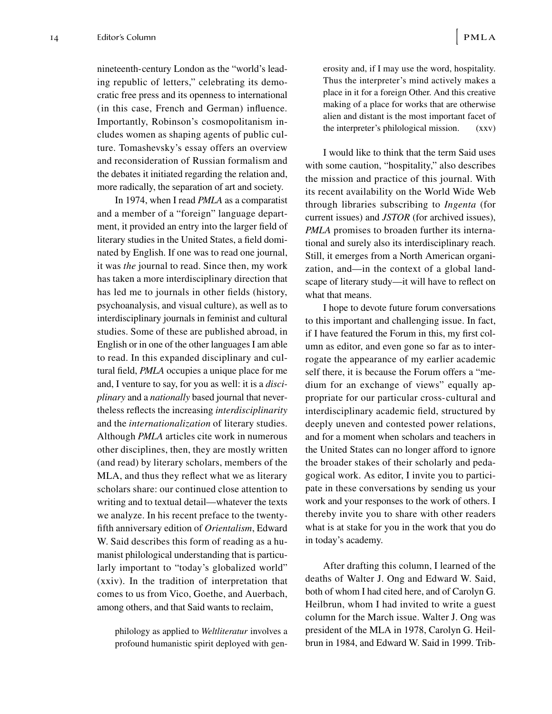14 Editor's Column **Editor's Column** 

nineteenth-century London as the "world's leading republic of letters," celebrating its democratic free press and its openness to international (in this case, French and German) influence. Importantly, Robinson's cosmopolitanism includes women as shaping agents of public culture. Tomashevsky's essay offers an overview and reconsideration of Russian formalism and the debates it initiated regarding the relation and, more radically, the separation of art and society.

In 1974, when I read *PMLA* as a comparatist and a member of a "foreign" language department, it provided an entry into the larger field of literary studies in the United States, a field dominated by English. If one was to read one journal, it was *the* journal to read. Since then, my work has taken a more interdisciplinary direction that has led me to journals in other fields (history, psychoanalysis, and visual culture), as well as to interdisciplinary journals in feminist and cultural studies. Some of these are published abroad, in English or in one of the other languages I am able to read. In this expanded disciplinary and cultural field, *PMLA* occupies a unique place for me and, I venture to say, for you as well: it is a *disciplinary* and a *nationally* based journal that nevertheless reflects the increasing *interdisciplinarity* and the *internationalization* of literary studies. Although *PMLA* articles cite work in numerous other disciplines, then, they are mostly written (and read) by literary scholars, members of the MLA, and thus they reflect what we as literary scholars share: our continued close attention to writing and to textual detail—whatever the texts we analyze. In his recent preface to the twentyfifth anniversary edition of *Orientalism*, Edward W. Said describes this form of reading as a humanist philological understanding that is particularly important to "today's globalized world" (xxiv). In the tradition of interpretation that comes to us from Vico, Goethe, and Auerbach, among others, and that Said wants to reclaim,

philology as applied to *Weltliteratur* involves a profound humanistic spirit deployed with generosity and, if I may use the word, hospitality. Thus the interpreter's mind actively makes a place in it for a foreign Other. And this creative making of a place for works that are otherwise alien and distant is the most important facet of the interpreter's philological mission. (xxv)

I would like to think that the term Said uses with some caution, "hospitality," also describes the mission and practice of this journal. With its recent availability on the World Wide Web through libraries subscribing to *Ingenta* (for current issues) and *JSTOR* (for archived issues), *PMLA* promises to broaden further its international and surely also its interdisciplinary reach. Still, it emerges from a North American organization, and—in the context of a global landscape of literary study—it will have to reflect on what that means.

I hope to devote future forum conversations to this important and challenging issue. In fact, if I have featured the Forum in this, my first column as editor, and even gone so far as to interrogate the appearance of my earlier academic self there, it is because the Forum offers a "medium for an exchange of views" equally appropriate for our particular cross-cultural and interdisciplinary academic field, structured by deeply uneven and contested power relations, and for a moment when scholars and teachers in the United States can no longer afford to ignore the broader stakes of their scholarly and pedagogical work. As editor, I invite you to participate in these conversations by sending us your work and your responses to the work of others. I thereby invite you to share with other readers what is at stake for you in the work that you do in today's academy.

After drafting this column, I learned of the deaths of Walter J. Ong and Edward W. Said, both of whom I had cited here, and of Carolyn G. Heilbrun, whom I had invited to write a guest column for the March issue. Walter J. Ong was president of the MLA in 1978, Carolyn G. Heilbrun in 1984, and Edward W. Said in 1999. Trib